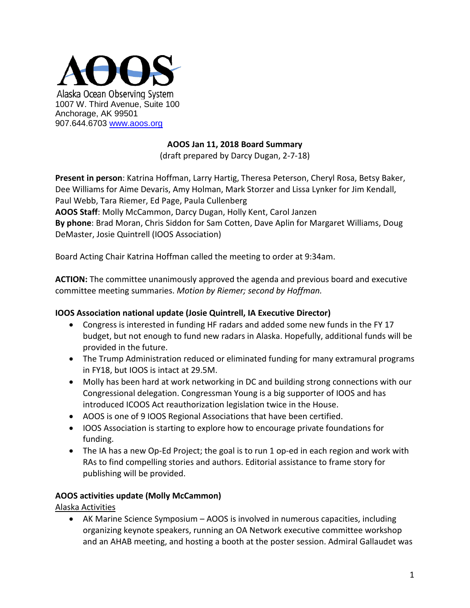

#### **AOOS Jan 11, 2018 Board Summary**

(draft prepared by Darcy Dugan, 2-7-18)

**Present in person**: Katrina Hoffman, Larry Hartig, Theresa Peterson, Cheryl Rosa, Betsy Baker, Dee Williams for Aime Devaris, Amy Holman, Mark Storzer and Lissa Lynker for Jim Kendall, Paul Webb, Tara Riemer, Ed Page, Paula Cullenberg **AOOS Staff**: Molly McCammon, Darcy Dugan, Holly Kent, Carol Janzen **By phone**: Brad Moran, Chris Siddon for Sam Cotten, Dave Aplin for Margaret Williams, Doug DeMaster, Josie Quintrell (IOOS Association)

Board Acting Chair Katrina Hoffman called the meeting to order at 9:34am.

**ACTION:** The committee unanimously approved the agenda and previous board and executive committee meeting summaries. *Motion by Riemer; second by Hoffman.*

#### **IOOS Association national update (Josie Quintrell, IA Executive Director)**

- Congress is interested in funding HF radars and added some new funds in the FY 17 budget, but not enough to fund new radars in Alaska. Hopefully, additional funds will be provided in the future.
- The Trump Administration reduced or eliminated funding for many extramural programs in FY18, but IOOS is intact at 29.5M.
- Molly has been hard at work networking in DC and building strong connections with our Congressional delegation. Congressman Young is a big supporter of IOOS and has introduced ICOOS Act reauthorization legislation twice in the House.
- AOOS is one of 9 IOOS Regional Associations that have been certified.
- IOOS Association is starting to explore how to encourage private foundations for funding.
- The IA has a new Op-Ed Project; the goal is to run 1 op-ed in each region and work with RAs to find compelling stories and authors. Editorial assistance to frame story for publishing will be provided.

#### **AOOS activities update (Molly McCammon)**

Alaska Activities

• AK Marine Science Symposium – AOOS is involved in numerous capacities, including organizing keynote speakers, running an OA Network executive committee workshop and an AHAB meeting, and hosting a booth at the poster session. Admiral Gallaudet was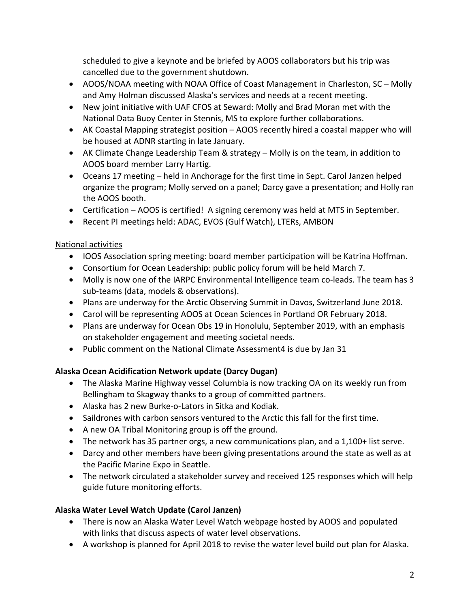scheduled to give a keynote and be briefed by AOOS collaborators but his trip was cancelled due to the government shutdown.

- AOOS/NOAA meeting with NOAA Office of Coast Management in Charleston, SC Molly and Amy Holman discussed Alaska's services and needs at a recent meeting.
- New joint initiative with UAF CFOS at Seward: Molly and Brad Moran met with the National Data Buoy Center in Stennis, MS to explore further collaborations.
- AK Coastal Mapping strategist position AOOS recently hired a coastal mapper who will be housed at ADNR starting in late January.
- AK Climate Change Leadership Team & strategy Molly is on the team, in addition to AOOS board member Larry Hartig.
- Oceans 17 meeting held in Anchorage for the first time in Sept. Carol Janzen helped organize the program; Molly served on a panel; Darcy gave a presentation; and Holly ran the AOOS booth.
- Certification AOOS is certified! A signing ceremony was held at MTS in September.
- Recent PI meetings held: ADAC, EVOS (Gulf Watch), LTERs, AMBON

## National activities

- IOOS Association spring meeting: board member participation will be Katrina Hoffman.
- Consortium for Ocean Leadership: public policy forum will be held March 7.
- Molly is now one of the IARPC Environmental Intelligence team co-leads. The team has 3 sub-teams (data, models & observations).
- Plans are underway for the Arctic Observing Summit in Davos, Switzerland June 2018.
- Carol will be representing AOOS at Ocean Sciences in Portland OR February 2018.
- Plans are underway for Ocean Obs 19 in Honolulu, September 2019, with an emphasis on stakeholder engagement and meeting societal needs.
- Public comment on the National Climate Assessment4 is due by Jan 31

## **Alaska Ocean Acidification Network update (Darcy Dugan)**

- The Alaska Marine Highway vessel Columbia is now tracking OA on its weekly run from Bellingham to Skagway thanks to a group of committed partners.
- Alaska has 2 new Burke-o-Lators in Sitka and Kodiak.
- Saildrones with carbon sensors ventured to the Arctic this fall for the first time.
- A new OA Tribal Monitoring group is off the ground.
- The network has 35 partner orgs, a new communications plan, and a 1,100+ list serve.
- Darcy and other members have been giving presentations around the state as well as at the Pacific Marine Expo in Seattle.
- The network circulated a stakeholder survey and received 125 responses which will help guide future monitoring efforts.

## **Alaska Water Level Watch Update (Carol Janzen)**

- There is now an Alaska Water Level Watch webpage hosted by AOOS and populated with links that discuss aspects of water level observations.
- A workshop is planned for April 2018 to revise the water level build out plan for Alaska.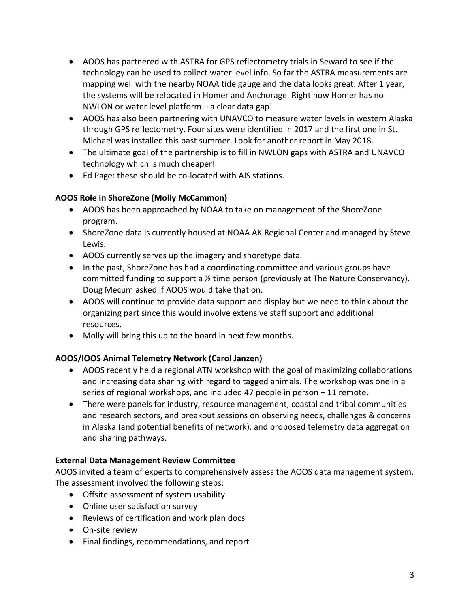- AOOS has partnered with ASTRA for GPS reflectometry trials in Seward to see if the technology can be used to collect water level info. So far the ASTRA measurements are mapping well with the nearby NOAA tide gauge and the data looks great. After 1 year, the systems will be relocated in Homer and Anchorage. Right now Homer has no NWLON or water level platform – a clear data gap!
- AOOS has also been partnering with UNAVCO to measure water levels in western Alaska through GPS reflectometry. Four sites were identified in 2017 and the first one in St. Michael was installed this past summer. Look for another report in May 2018.
- The ultimate goal of the partnership is to fill in NWLON gaps with ASTRA and UNAVCO technology which is much cheaper!
- Ed Page: these should be co-located with AIS stations.

# **AOOS Role in ShoreZone (Molly McCammon)**

- AOOS has been approached by NOAA to take on management of the ShoreZone program.
- ShoreZone data is currently housed at NOAA AK Regional Center and managed by Steve Lewis.
- AOOS currently serves up the imagery and shoretype data.
- In the past, ShoreZone has had a coordinating committee and various groups have committed funding to support a ½ time person (previously at The Nature Conservancy). Doug Mecum asked if AOOS would take that on.
- AOOS will continue to provide data support and display but we need to think about the organizing part since this would involve extensive staff support and additional resources.
- Molly will bring this up to the board in next few months.

# **AOOS/IOOS Animal Telemetry Network (Carol Janzen)**

- AOOS recently held a regional ATN workshop with the goal of maximizing collaborations and increasing data sharing with regard to tagged animals. The workshop was one in a series of regional workshops, and included 47 people in person + 11 remote.
- There were panels for industry, resource management, coastal and tribal communities and research sectors, and breakout sessions on observing needs, challenges & concerns in Alaska (and potential benefits of network), and proposed telemetry data aggregation and sharing pathways.

## **External Data Management Review Committee**

AOOS invited a team of experts to comprehensively assess the AOOS data management system. The assessment involved the following steps:

- Offsite assessment of system usability
- Online user satisfaction survey
- Reviews of certification and work plan docs
- On-site review
- Final findings, recommendations, and report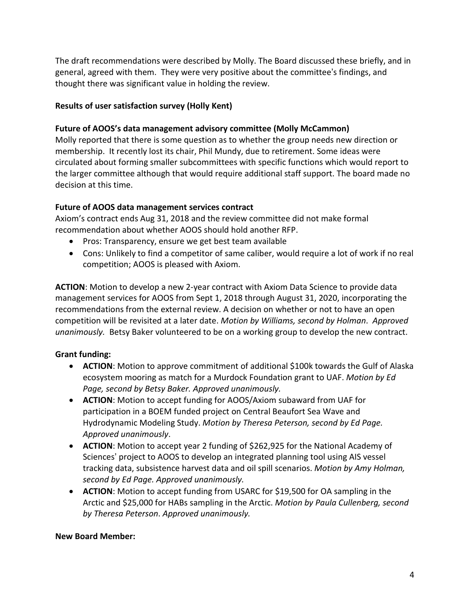The draft recommendations were described by Molly. The Board discussed these briefly, and in general, agreed with them. They were very positive about the committee's findings, and thought there was significant value in holding the review.

#### **Results of user satisfaction survey (Holly Kent)**

#### **Future of AOOS's data management advisory committee (Molly McCammon)**

Molly reported that there is some question as to whether the group needs new direction or membership. It recently lost its chair, Phil Mundy, due to retirement. Some ideas were circulated about forming smaller subcommittees with specific functions which would report to the larger committee although that would require additional staff support. The board made no decision at this time.

#### **Future of AOOS data management services contract**

Axiom's contract ends Aug 31, 2018 and the review committee did not make formal recommendation about whether AOOS should hold another RFP.

- Pros: Transparency, ensure we get best team available
- Cons: Unlikely to find a competitor of same caliber, would require a lot of work if no real competition; AOOS is pleased with Axiom.

**ACTION**: Motion to develop a new 2-year contract with Axiom Data Science to provide data management services for AOOS from Sept 1, 2018 through August 31, 2020, incorporating the recommendations from the external review. A decision on whether or not to have an open competition will be revisited at a later date. *Motion by Williams, second by Holman*. *Approved unanimously.* Betsy Baker volunteered to be on a working group to develop the new contract.

## **Grant funding:**

- **ACTION**: Motion to approve commitment of additional \$100k towards the Gulf of Alaska ecosystem mooring as match for a Murdock Foundation grant to UAF. *Motion by Ed Page, second by Betsy Baker. Approved unanimously.*
- **ACTION**: Motion to accept funding for AOOS/Axiom subaward from UAF for participation in a BOEM funded project on Central Beaufort Sea Wave and Hydrodynamic Modeling Study. *Motion by Theresa Peterson, second by Ed Page. Approved unanimously*.
- **ACTION**: Motion to accept year 2 funding of \$262,925 for the National Academy of Sciences' project to AOOS to develop an integrated planning tool using AIS vessel tracking data, subsistence harvest data and oil spill scenarios. *Motion by Amy Holman, second by Ed Page. Approved unanimously.*
- **ACTION**: Motion to accept funding from USARC for \$19,500 for OA sampling in the Arctic and \$25,000 for HABs sampling in the Arctic. *Motion by Paula Cullenberg, second by Theresa Peterson*. *Approved unanimously.*

#### **New Board Member:**